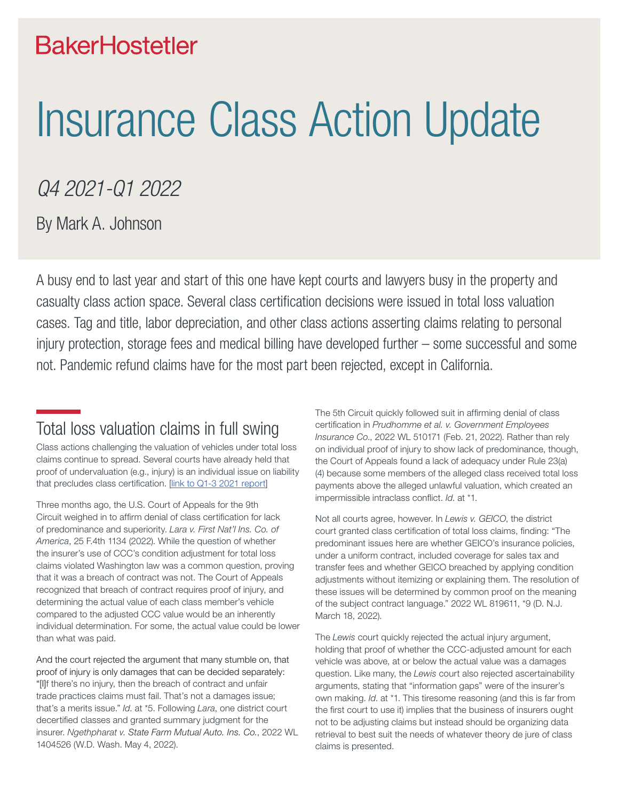# **BakerHostetler**

# Insurance Class Action Update

# *Q4 2021-Q1 2022*

By Mark A. Johnson

A busy end to last year and start of this one have kept courts and lawyers busy in the property and casualty class action space. Several class certification decisions were issued in total loss valuation cases. Tag and title, labor depreciation, and other class actions asserting claims relating to personal injury protection, storage fees and medical billing have developed further – some successful and some not. Pandemic refund claims have for the most part been rejected, except in California.

## Total loss valuation claims in full swing

Class actions challenging the valuation of vehicles under total loss claims continue to spread. Several courts have already held that proof of undervaluation (e.g., injury) is an individual issue on liability that precludes class certification. [[link to Q1-3 2021 report\]](https://www.bakerlaw.com/webfiles/Class%20Action%20Defense%20-%20Quarterly%20Insurance%20Report%20-%202021%20Q3%20-%20FINAL.pdf)

Three months ago, the U.S. Court of Appeals for the 9th Circuit weighed in to affirm denial of class certification for lack of predominance and superiority. *Lara v. First Nat'l Ins. Co. of America*, 25 F.4th 1134 (2022). While the question of whether the insurer's use of CCC's condition adjustment for total loss claims violated Washington law was a common question, proving that it was a breach of contract was not. The Court of Appeals recognized that breach of contract requires proof of injury, and determining the actual value of each class member's vehicle compared to the adjusted CCC value would be an inherently individual determination. For some, the actual value could be lower than what was paid.

And the court rejected the argument that many stumble on, that proof of injury is only damages that can be decided separately: "[I]f there's no injury, then the breach of contract and unfair trade practices claims must fail. That's not a damages issue; that's a merits issue." *Id*. at \*5. Following *Lara*, one district court decertified classes and granted summary judgment for the insurer. *Ngethpharat v. [State Farm Mutual Auto. Ins. Co.](https://1.next.westlaw.com/Search/Results.html?query=advanced%3a+WCAID(I41C5AED441EA11DDAD6B0014224D2780)&saveJuris=False&contentType=BUSINESS-INVESTIGATOR&startIndex=1&contextData=(sc.Default)&categoryPageUrl=Home%2fCompanyInvestigator&originationContext=document&transitionType=DocumentItem&ppcid=86f8c3ce4e1b4cb4865b2cefe41af126)*, 2022 WL 1404526 (W.D. Wash. May 4, 2022).

The 5th Circuit quickly followed suit in affirming denial of class certification in *Prudhomme et al. v. Government Employees Insurance Co*., 2022 WL 510171 (Feb. 21, 2022). Rather than rely on individual proof of injury to show lack of predominance, though, the Court of Appeals found a lack of adequacy under Rule 23(a) (4) because some members of the alleged class received total loss payments above the alleged unlawful valuation, which created an impermissible intraclass conflict. *Id*. at \*1.

Not all courts agree, however. In *Lewis v. GEICO*, the district court granted class certification of total loss claims, finding: "The predominant issues here are whether GEICO's insurance policies, under a uniform contract, included coverage for sales tax and transfer fees and whether GEICO breached by applying condition adjustments without itemizing or explaining them. The resolution of these issues will be determined by common proof on the meaning of the subject contract language." 2022 WL 819611, \*9 (D. N.J. March 18, 2022).

The *Lewis* court quickly rejected the actual injury argument, holding that proof of whether the CCC-adjusted amount for each vehicle was above, at or below the actual value was a damages question. Like many, the *Lewis* court also rejected ascertainability arguments, stating that "information gaps" were of the insurer's own making. *Id*. at \*1. This tiresome reasoning (and this is far from the first court to use it) implies that the business of insurers ought not to be adjusting claims but instead should be organizing data retrieval to best suit the needs of whatever theory de jure of class claims is presented.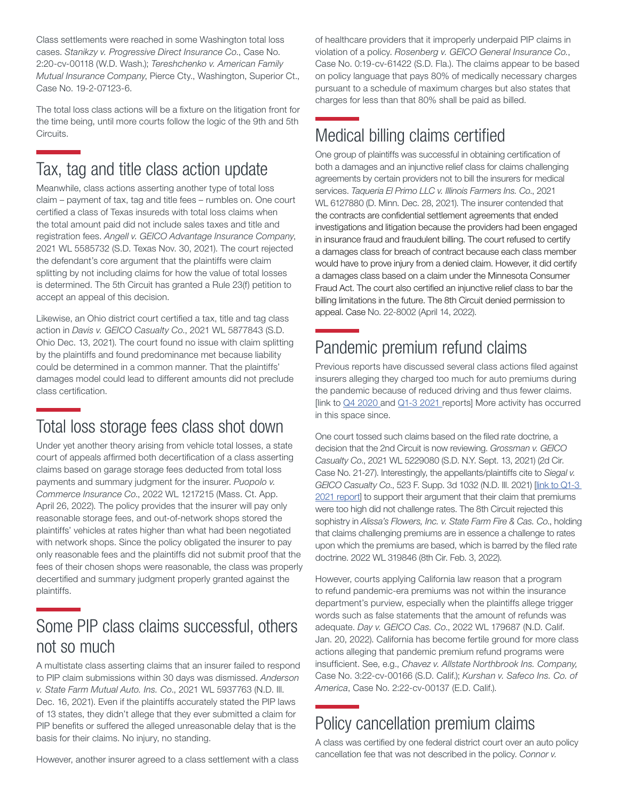Class settlements were reached in some Washington total loss cases. *Stanikzy v. Progressive Direct Insurance Co*., Case No. 2:20-cv-00118 (W.D. Wash.); *Tereshchenko v. American Family Mutual Insurance Company*, Pierce Cty., Washington, Superior Ct., Case No. 19-2-07123-6.

The total loss class actions will be a fixture on the litigation front for the time being, until more courts follow the logic of the 9th and 5th Circuits.

# Tax, tag and title class action update

Meanwhile, class actions asserting another type of total loss claim – payment of tax, tag and title fees – rumbles on. One court certified a class of Texas insureds with total loss claims when the total amount paid did not include sales taxes and title and registration fees. *Angell v. GEICO Advantage Insurance Company*, 2021 WL 5585732 (S.D. Texas Nov. 30, 2021). The court rejected the defendant's core argument that the plaintiffs were claim splitting by not including claims for how the value of total losses is determined. The 5th Circuit has granted a Rule 23(f) petition to accept an appeal of this decision.

Likewise, an Ohio district court certified a tax, title and tag class action in *Davis v. GEICO Casualty Co*., 2021 WL 5877843 (S.D. Ohio Dec. 13, 2021). The court found no issue with claim splitting by the plaintiffs and found predominance met because liability could be determined in a common manner. That the plaintiffs' damages model could lead to different amounts did not preclude class certification.

## Total loss storage fees class shot down

Under yet another theory arising from vehicle total losses, a state court of appeals affirmed both decertification of a class asserting claims based on garage storage fees deducted from total loss payments and summary judgment for the insurer. *Puopolo v. Commerce Insurance Co*., 2022 WL 1217215 (Mass. Ct. App. April 26, 2022). The policy provides that the insurer will pay only reasonable storage fees, and out-of-network shops stored the plaintiffs' vehicles at rates higher than what had been negotiated with network shops. Since the policy obligated the insurer to pay only reasonable fees and the plaintiffs did not submit proof that the fees of their chosen shops were reasonable, the class was properly decertified and summary judgment properly granted against the plaintiffs.

# Some PIP class claims successful, others not so much

A multistate class asserting claims that an insurer failed to respond to PIP claim submissions within 30 days was dismissed. *Anderson v. State Farm Mutual Auto. Ins. Co*., 2021 WL 5937763 (N.D. Ill. Dec. 16, 2021). Even if the plaintiffs accurately stated the PIP laws of 13 states, they didn't allege that they ever submitted a claim for PIP benefits or suffered the alleged unreasonable delay that is the basis for their claims. No injury, no standing.

However, another insurer agreed to a class settlement with a class

of healthcare providers that it improperly underpaid PIP claims in violation of a policy. *Rosenberg v. GEICO General Insurance Co.*, Case No. 0:19-cv-61422 (S.D. Fla.). The claims appear to be based on policy language that pays 80% of medically necessary charges pursuant to a schedule of maximum charges but also states that charges for less than that 80% shall be paid as billed.

# Medical billing claims certified

One group of plaintiffs was successful in obtaining certification of both a damages and an injunctive relief class for claims challenging agreements by certain providers not to bill the insurers for medical services. *Taqueria El Primo LLC v. Illinois Farmers Ins. Co*., 2021 WL 6127880 (D. Minn. Dec. 28, 2021). The insurer contended that the contracts are confidential settlement agreements that ended investigations and litigation because the providers had been engaged in insurance fraud and fraudulent billing. The court refused to certify a damages class for breach of contract because each class member would have to prove injury from a denied claim. However, it did certify a damages class based on a claim under the Minnesota Consumer Fraud Act. The court also certified an injunctive relief class to bar the billing limitations in the future. The 8th Circuit denied permission to appeal. Case No. 22-8002 (April 14, 2022).

# Pandemic premium refund claims

Previous reports have discussed several class actions filed against insurers alleging they charged too much for auto premiums during the pandemic because of reduced driving and thus fewer claims. [link to [Q4 2020](https://www.bakerlaw.com/webfiles/Litigation/2021/Insurance-Class-Action-Quarterly-2020-Q3-4.pdf) and [Q1-3 2021](https://www.bakerlaw.com/webfiles/Class%20Action%20Defense%20-%20Quarterly%20Insurance%20Report%20-%202021%20Q3%20-%20FINAL.pdf) reports] More activity has occurred in this space since.

One court tossed such claims based on the filed rate doctrine, a decision that the 2nd Circuit is now reviewing. *Grossman v. GEICO Casualty Co*., 2021 WL 5229080 (S.D. N.Y. Sept. 13, 2021) (2d Cir. Case No. 21-27). Interestingly, the appellants/plaintiffs cite to *Siegal v. GEICO Casualty Co*., 523 F. Supp. 3d 1032 (N.D. Ill. 2021) [[link to Q1-3](https://www.bakerlaw.com/webfiles/Class%20Action%20Defense%20-%20Quarterly%20Insurance%20Report%20-%202021%20Q3%20-%20FINAL.pdf)  [2021 report\]](https://www.bakerlaw.com/webfiles/Class%20Action%20Defense%20-%20Quarterly%20Insurance%20Report%20-%202021%20Q3%20-%20FINAL.pdf) to support their argument that their claim that premiums were too high did not challenge rates. The 8th Circuit rejected this sophistry in *Alissa's Flowers, Inc. v. State Farm Fire & Cas. Co*., holding that claims challenging premiums are in essence a challenge to rates upon which the premiums are based, which is barred by the filed rate doctrine. 2022 WL 319846 (8th Cir. Feb. 3, 2022).

However, courts applying California law reason that a program to refund pandemic-era premiums was not within the insurance department's purview, especially when the plaintiffs allege trigger words such as false statements that the amount of refunds was adequate. *Day v. GEICO Cas. Co*., 2022 WL 179687 (N.D. Calif. Jan. 20, 2022). California has become fertile ground for more class actions alleging that pandemic premium refund programs were insufficient. See, e.g., *Chavez v. Allstate Northbrook Ins. Company,*  Case No. 3:22-cv-00166 (S.D. Calif.); *Kurshan v. Safeco Ins. Co. of America*, Case No. 2:22-cv-00137 (E.D. Calif.).

# Policy cancellation premium claims

A class was certified by one federal district court over an auto policy cancellation fee that was not described in the policy. *Connor v.*